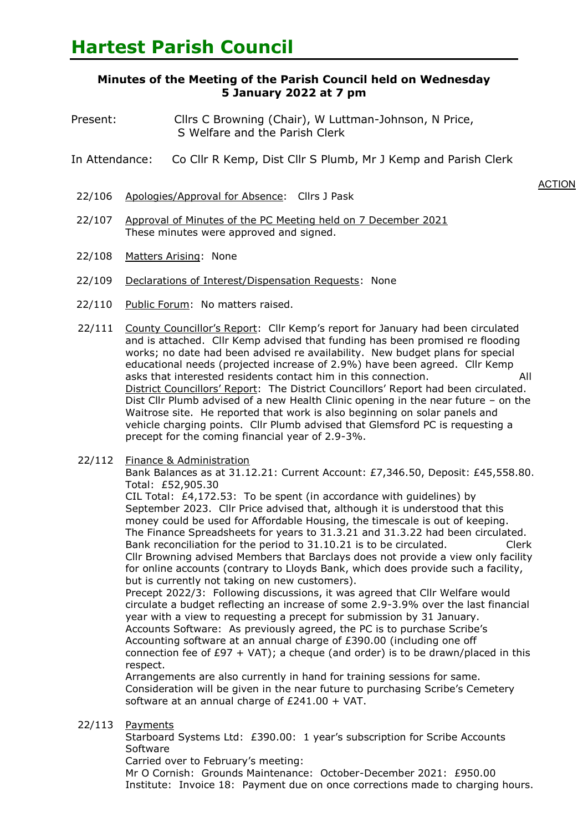## **Minutes of the Meeting of the Parish Council held on Wednesday 5 January 2022 at 7 pm**

- Present: Cllrs C Browning (Chair), W Luttman-Johnson, N Price, S Welfare and the Parish Clerk
- In Attendance: Co Cllr R Kemp, Dist Cllr S Plumb, Mr J Kemp and Parish Clerk
	- **ACTION** 22/106 Apologies/Approval for Absence: Cllrs J Pask
- 22/107 Approval of Minutes of the PC Meeting held on 7 December 2021 These minutes were approved and signed.
- 22/108 Matters Arising: None
- 22/109 Declarations of Interest/Dispensation Requests: None
- 22/110 Public Forum: No matters raised.
- 22/111 County Councillor's Report: Cllr Kemp's report for January had been circulated and is attached. Cllr Kemp advised that funding has been promised re flooding works; no date had been advised re availability. New budget plans for special educational needs (projected increase of 2.9%) have been agreed. Cllr Kemp asks that interested residents contact him in this connection. All District Councillors' Report: The District Councillors' Report had been circulated. Dist Cllr Plumb advised of a new Health Clinic opening in the near future – on the Waitrose site. He reported that work is also beginning on solar panels and vehicle charging points. Cllr Plumb advised that Glemsford PC is requesting a precept for the coming financial year of 2.9-3%.
- 22/112 Finance & Administration

Bank Balances as at 31.12.21: Current Account: £7,346.50, Deposit: £45,558.80. Total: £52,905.30

CIL Total:  $£4,172.53$ : To be spent (in accordance with quidelines) by September 2023. Cllr Price advised that, although it is understood that this money could be used for Affordable Housing, the timescale is out of keeping. The Finance Spreadsheets for years to 31.3.21 and 31.3.22 had been circulated. Bank reconciliation for the period to 31.10.21 is to be circulated. Clerk Cllr Browning advised Members that Barclays does not provide a view only facility for online accounts (contrary to Lloyds Bank, which does provide such a facility, but is currently not taking on new customers).

Precept 2022/3: Following discussions, it was agreed that Cllr Welfare would circulate a budget reflecting an increase of some 2.9-3.9% over the last financial year with a view to requesting a precept for submission by 31 January. Accounts Software: As previously agreed, the PC is to purchase Scribe's Accounting software at an annual charge of £390.00 (including one off connection fee of  $E97 + VAT$ ; a cheque (and order) is to be drawn/placed in this respect.

Arrangements are also currently in hand for training sessions for same. Consideration will be given in the near future to purchasing Scribe's Cemetery software at an annual charge of £241.00 + VAT.

22/113 Payments

Starboard Systems Ltd: £390.00: 1 year's subscription for Scribe Accounts Software

Carried over to February's meeting:

Mr O Cornish: Grounds Maintenance: October-December 2021: £950.00 Institute: Invoice 18: Payment due on once corrections made to charging hours.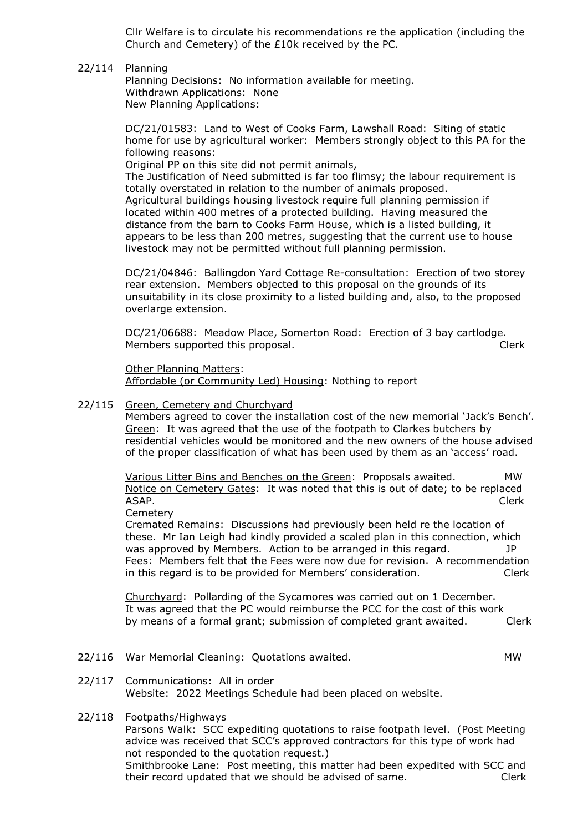Cllr Welfare is to circulate his recommendations re the application (including the Church and Cemetery) of the £10k received by the PC.

22/114 Planning

> Planning Decisions: No information available for meeting. Withdrawn Applications: None New Planning Applications:

DC/21/01583: Land to West of Cooks Farm, Lawshall Road: Siting of static home for use by agricultural worker: Members strongly object to this PA for the following reasons:

Original PP on this site did not permit animals,

The Justification of Need submitted is far too flimsy; the labour requirement is totally overstated in relation to the number of animals proposed. Agricultural buildings housing livestock require full planning permission if located within 400 metres of a protected building. Having measured the distance from the barn to Cooks Farm House, which is a listed building, it appears to be less than 200 metres, suggesting that the current use to house livestock may not be permitted without full planning permission.

DC/21/04846: Ballingdon Yard Cottage Re-consultation: Erection of two storey rear extension. Members objected to this proposal on the grounds of its unsuitability in its close proximity to a listed building and, also, to the proposed overlarge extension.

DC/21/06688: Meadow Place, Somerton Road: Erection of 3 bay cartlodge. Members supported this proposal. The contract of the Clerk

Other Planning Matters: Affordable (or Community Led) Housing: Nothing to report

## 22/115 Green, Cemetery and Churchyard

Members agreed to cover the installation cost of the new memorial 'Jack's Bench'. Green: It was agreed that the use of the footpath to Clarkes butchers by residential vehicles would be monitored and the new owners of the house advised of the proper classification of what has been used by them as an 'access' road.

Various Litter Bins and Benches on the Green: Proposals awaited. MW Notice on Cemetery Gates: It was noted that this is out of date; to be replaced ASAP. Clerk

**Cemetery** 

Cremated Remains: Discussions had previously been held re the location of these. Mr Ian Leigh had kindly provided a scaled plan in this connection, which was approved by Members. Action to be arranged in this regard.  $J$ P Fees: Members felt that the Fees were now due for revision. A recommendation in this regard is to be provided for Members' consideration. Clerk

Churchyard: Pollarding of the Sycamores was carried out on 1 December. It was agreed that the PC would reimburse the PCC for the cost of this work by means of a formal grant; submission of completed grant awaited. Clerk

22/116 War Memorial Cleaning: Quotations awaited. The manuscription of the MW

Communications: All in order

## 22/118 Footpaths/Highways

22/117

Parsons Walk: SCC expediting quotations to raise footpath level. (Post Meeting advice was received that SCC's approved contractors for this type of work had not responded to the quotation request.)

Website: 2022 Meetings Schedule had been placed on website.

Smithbrooke Lane: Post meeting, this matter had been expedited with SCC and their record updated that we should be advised of same. Clerk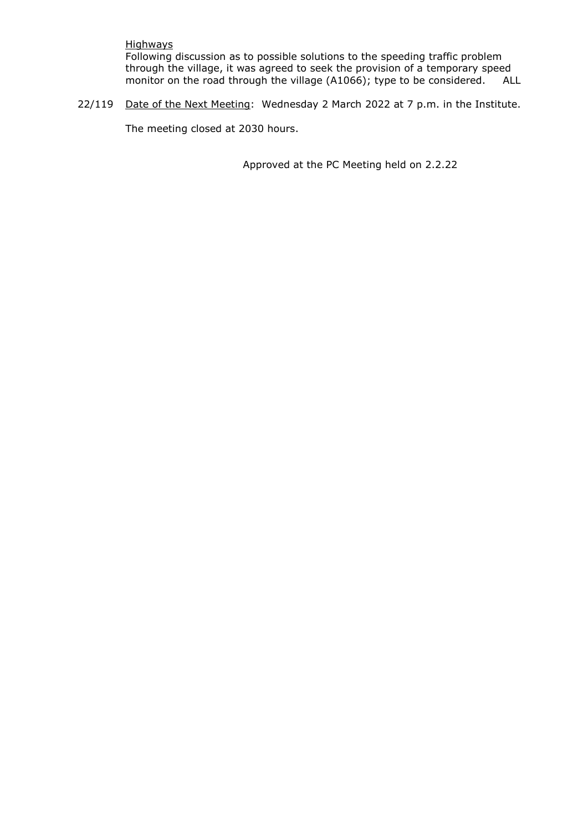## **Highways**

Following discussion as to possible solutions to the speeding traffic problem through the village, it was agreed to seek the provision of a temporary speed monitor on the road through the village (A1066); type to be considered. ALL

22/119 Date of the Next Meeting: Wednesday 2 March 2022 at 7 p.m. in the Institute.

The meeting closed at 2030 hours.

Approved at the PC Meeting held on 2.2.22